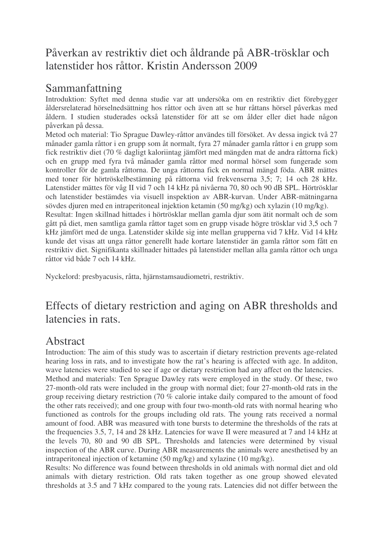## Påverkan av restriktiv diet och åldrande på ABR-trösklar och latenstider hos råttor. Kristin Andersson 2009

## Sammanfattning

Introduktion: Syftet med denna studie var att undersöka om en restriktiv diet förebygger åldersrelaterad hörselnedsättning hos råttor och även att se hur råttans hörsel påverkas med åldern. I studien studerades också latenstider för att se om ålder eller diet hade någon påverkan på dessa.

Metod och material: Tio Sprague Dawley-råttor användes till försöket. Av dessa ingick två 27 månader gamla råttor i en grupp som åt normalt, fyra 27 månader gamla råttor i en grupp som fick restriktiv diet (70 % dagligt kaloriintag jämfört med mängden mat de andra råttorna fick) och en grupp med fyra två månader gamla råttor med normal hörsel som fungerade som kontroller för de gamla råttorna. De unga råttorna fick en normal mängd föda. ABR mättes med toner för hörtröskelbestämning på råttorna vid frekvenserna 3,5; 7; 14 och 28 kHz. Latenstider mättes för våg II vid 7 och 14 kHz på nivåerna 70, 80 och 90 dB SPL. Hörtrösklar och latenstider bestämdes via visuell inspektion av ABR-kurvan. Under ABR-mätningarna sövdes djuren med en intraperitoneal injektion ketamin (50 mg/kg) och xylazin (10 mg/kg).

Resultat: Ingen skillnad hittades i hörtrösklar mellan gamla djur som ätit normalt och de som gått på diet, men samtliga gamla råttor taget som en grupp visade högre trösklar vid 3,5 och 7 kHz jämfört med de unga. Latenstider skilde sig inte mellan grupperna vid 7 kHz. Vid 14 kHz kunde det visas att unga råttor generellt hade kortare latenstider än gamla råttor som fått en restriktiv diet. Signifikanta skillnader hittades på latenstider mellan alla gamla råttor och unga råttor vid både 7 och 14 kHz.

Nyckelord: presbyacusis, råtta, hjärnstamsaudiometri, restriktiv.

## Effects of dietary restriction and aging on ABR thresholds and latencies in rats.

## Abstract

Introduction: The aim of this study was to ascertain if dietary restriction prevents age-related hearing loss in rats, and to investigate how the rat's hearing is affected with age. In additon, wave latencies were studied to see if age or dietary restriction had any affect on the latencies. Method and materials: Ten Sprague Dawley rats were employed in the study. Of these, two 27-month-old rats were included in the group with normal diet; four 27-month-old rats in the group receiving dietary restriction (70 % calorie intake daily compared to the amount of food the other rats received); and one group with four two-month-old rats with normal hearing who functioned as controls for the groups including old rats. The young rats received a normal amount of food. ABR was measured with tone bursts to determine the thresholds of the rats at the frequencies 3.5, 7, 14 and 28 kHz. Latencies for wave II were measured at 7 and 14 kHz at the levels 70, 80 and 90 dB SPL. Thresholds and latencies were determined by visual inspection of the ABR curve. During ABR measurements the animals were anesthetised by an intraperitoneal injection of ketamine (50 mg/kg) and xylazine (10 mg/kg).

Results: No difference was found between thresholds in old animals with normal diet and old animals with dietary restriction. Old rats taken together as one group showed elevated thresholds at 3.5 and 7 kHz compared to the young rats. Latencies did not differ between the